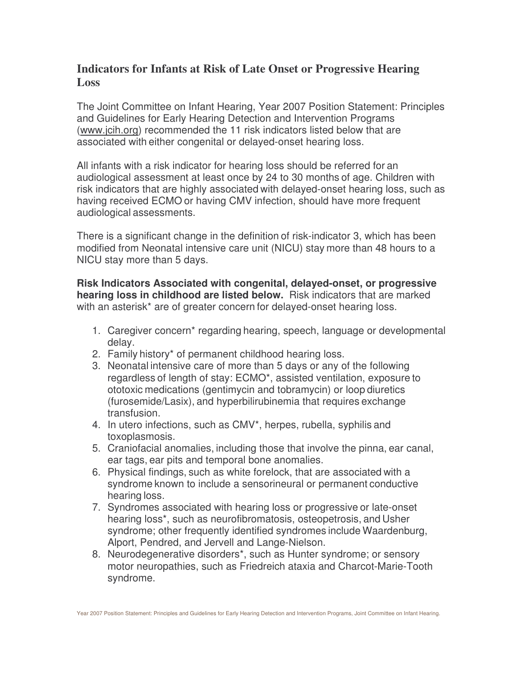## **Indicators for Infants at Risk of Late Onset or Progressive Hearing Loss**

The Joint Committee on Infant Hearing, Year 2007 Position Statement: Principles and Guidelines for Early Hearing Detection and Intervention Programs (www.jcih.org) recommended the 11 risk indicators listed below that are associated with either congenital or delayed-onset hearing loss.

All infants with a risk indicator for hearing loss should be referred for an audiological assessment at least once by 24 to 30 months of age. Children with risk indicators that are highly associated with delayed-onset hearing loss, such as having received ECMO or having CMV infection, should have more frequent audiological assessments.

There is a significant change in the definition of risk-indicator 3, which has been modified from Neonatal intensive care unit (NICU) stay more than 48 hours to a NICU stay more than 5 days.

**Risk Indicators Associated with congenital, delayed-onset, or progressive hearing loss in childhood are listed below.** Risk indicators that are marked with an asterisk<sup>\*</sup> are of greater concern for delayed-onset hearing loss.

- 1. Caregiver concern\* regarding hearing, speech, language or developmental delay.
- 2. Family history\* of permanent childhood hearing loss.
- 3. Neonatal intensive care of more than 5 days or any of the following regardless of length of stay: ECMO\*, assisted ventilation, exposure to ototoxic medications (gentimycin and tobramycin) or loop diuretics (furosemide/Lasix), and hyperbilirubinemia that requires exchange transfusion.
- 4. In utero infections, such as CMV\*, herpes, rubella, syphilis and toxoplasmosis.
- 5. Craniofacial anomalies, including those that involve the pinna, ear canal, ear tags, ear pits and temporal bone anomalies.
- 6. Physical findings, such as white forelock, that are associated with a syndrome known to include a sensorineural or permanent conductive hearing loss.
- 7. Syndromes associated with hearing loss or progressive or late-onset hearing loss\*, such as neurofibromatosis, osteopetrosis, and Usher syndrome; other frequently identified syndromes include Waardenburg, Alport, Pendred, and Jervell and Lange-Nielson.
- 8. Neurodegenerative disorders\*, such as Hunter syndrome; or sensory motor neuropathies, such as Friedreich ataxia and Charcot-Marie-Tooth syndrome.